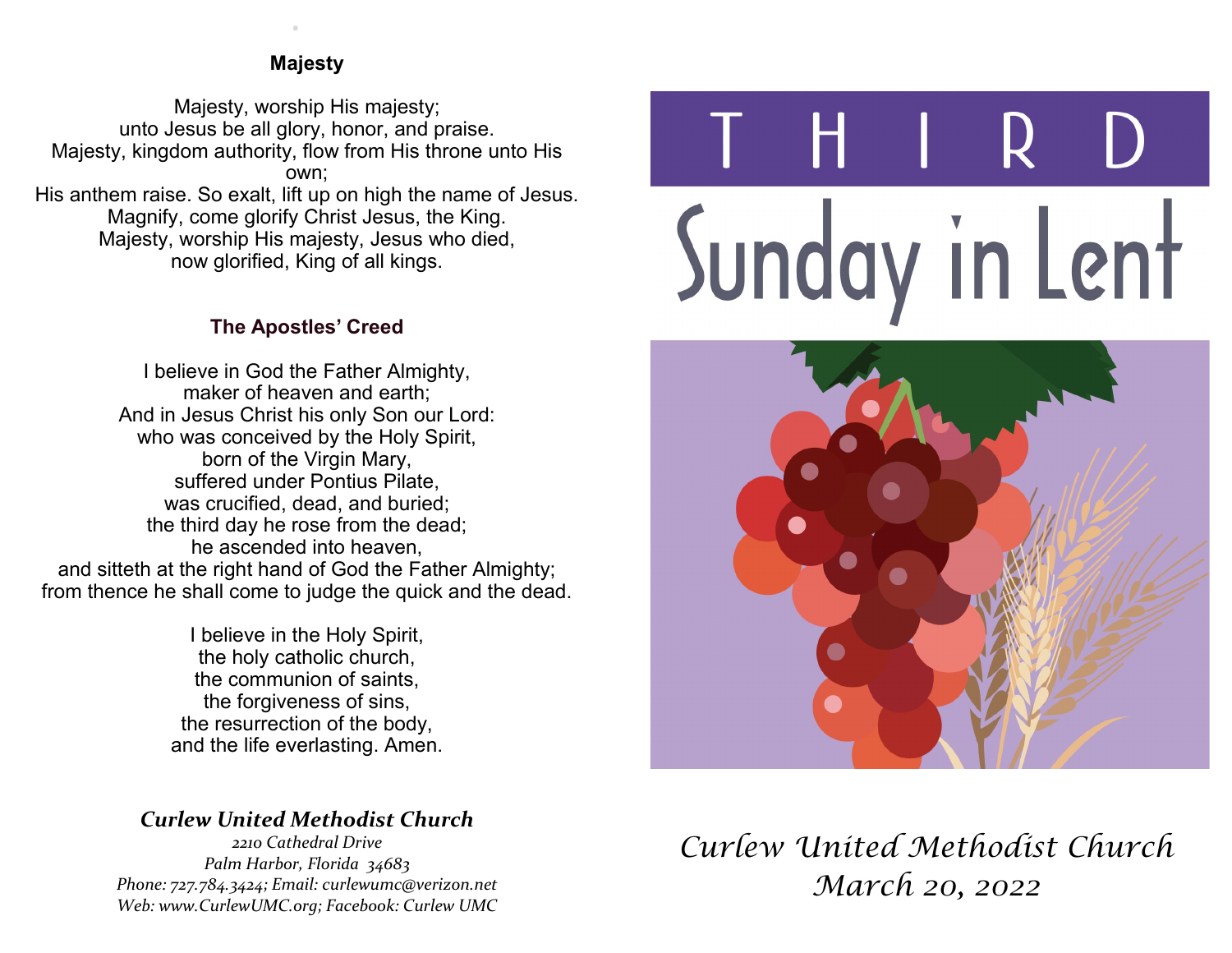### **Majesty**

.

Majesty, worship His majesty; unto Jesus be all glory, honor, and praise. Majesty, kingdom authority, flow from His throne unto His own; His anthem raise. So exalt, lift up on high the name of Jesus. Magnify, come glorify Christ Jesus, the King. Majesty, worship His majesty, Jesus who died, now glorified, King of all kings.

## **The Apostles' Creed**

I believe in God the Father Almighty, maker of heaven and earth; And in Jesus Christ his only Son our Lord: who was conceived by the Holy Spirit, born of the Virgin Mary, suffered under Pontius Pilate, was crucified, dead, and buried; the third day he rose from the dead; he ascended into heaven, and sitteth at the right hand of God the Father Almighty; from thence he shall come to judge the quick and the dead.

> I believe in the Holy Spirit, the holy catholic church, the communion of saints, the forgiveness of sins, the resurrection of the body, and the life everlasting. Amen.

## *Curlew United Methodist Church*

*2210 Cathedral Drive Palm Harbor, Florida 34683 Phone: 727.784.3424; Email: curlewumc@verizon.net Web: www.CurlewUMC.org; Facebook: Curlew UMC*

# IH R Sunday in Lent



# *Curlew United Methodist Church March 20, 2022*